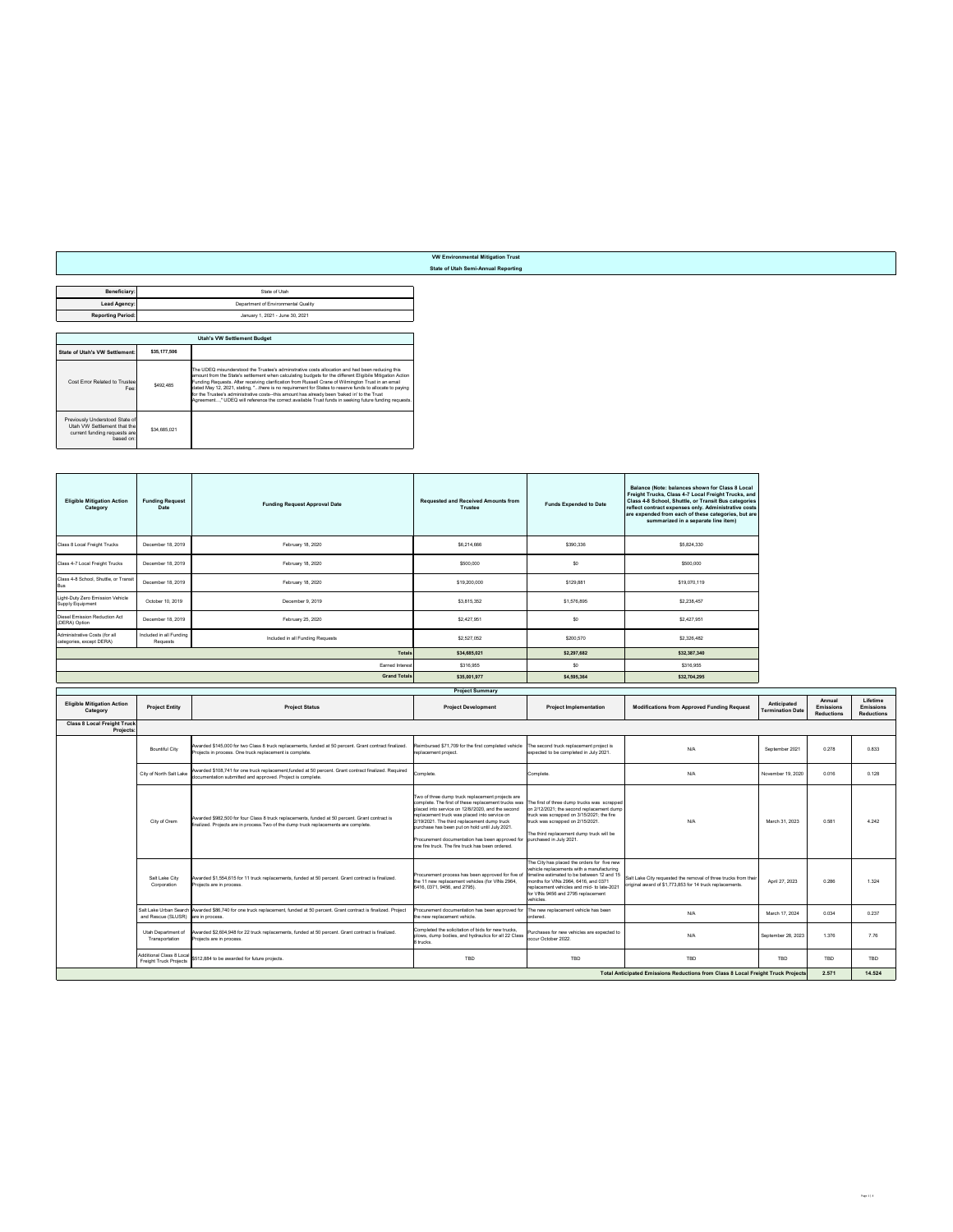**Beneficiary: Lead Agency:** State of Utah Department of Environmental Quality

**Reporting Period:** January 1, 2021 - June 30, 2021

|                                                                                                                   | <b>Utah's VW Settlement Budget</b> |                                                                                                                                                                                                                                                                                                                                                                                                                                                                                                                                                                                                                                       |  |  |  |  |
|-------------------------------------------------------------------------------------------------------------------|------------------------------------|---------------------------------------------------------------------------------------------------------------------------------------------------------------------------------------------------------------------------------------------------------------------------------------------------------------------------------------------------------------------------------------------------------------------------------------------------------------------------------------------------------------------------------------------------------------------------------------------------------------------------------------|--|--|--|--|
| <b>State of Utah's VW Settlement:</b>                                                                             | \$35,177,506                       |                                                                                                                                                                                                                                                                                                                                                                                                                                                                                                                                                                                                                                       |  |  |  |  |
| <b>Cost Error Related to Trusteel</b><br>Fee:                                                                     | \$492,485                          | The UDEQ misunderstood the Trustee's adminstrative costs allocation and had been reducing this<br>amount from the State's settlement when calculating budgets for the different Eligibile Mitigation Action<br>Funding Requests. After receiving clarification from Russell Crane of Wilmington Trust in an email<br>dated May 12, 2021, stating, "there is no requirement for States to reserve funds to allocate to paying<br>for the Trustee's administrative costs--this amount has already been 'baked in' to the Trust<br>Agreement," UDEQ will reference the correct available Trust funds in seeking future funding requests. |  |  |  |  |
| <b>Previously Understood State of</b><br>Utah VW Settlement that the<br>current funding requests are<br>based on: | \$34,685,021                       |                                                                                                                                                                                                                                                                                                                                                                                                                                                                                                                                                                                                                                       |  |  |  |  |

| <b>Eligible Mitigation Action</b><br><b>Category</b>      | <b>Funding Request</b><br><b>Date</b>       | <b>Funding Request Approval Date</b>                                                                                                                                                   | <b>Requested and Received Amounts from</b><br><b>Trustee</b>                                                                                                                                                                                                                                                                                                                                                                                     | <b>Funds Expended to Date</b>                                                                                                                                                                                                     | <b>Balance (Note: balances shown for Class 8 Local</b><br>  Freight Trucks, Class 4-7 Local Freight Trucks, and  <br>  Class 4-8 School, Shuttle, or Transit Bus categories  <br>  reflect contract expenses only. Administrative costs  <br>are expended from each of these categories, but are<br>summarized in a separate line item) |                                        |                                                        |                                                          |
|-----------------------------------------------------------|---------------------------------------------|----------------------------------------------------------------------------------------------------------------------------------------------------------------------------------------|--------------------------------------------------------------------------------------------------------------------------------------------------------------------------------------------------------------------------------------------------------------------------------------------------------------------------------------------------------------------------------------------------------------------------------------------------|-----------------------------------------------------------------------------------------------------------------------------------------------------------------------------------------------------------------------------------|-----------------------------------------------------------------------------------------------------------------------------------------------------------------------------------------------------------------------------------------------------------------------------------------------------------------------------------------|----------------------------------------|--------------------------------------------------------|----------------------------------------------------------|
| <b>Class 8 Local Freight Trucks</b>                       | December 18, 2019                           | February 18, 2020                                                                                                                                                                      | \$6,214,666                                                                                                                                                                                                                                                                                                                                                                                                                                      | \$390,336                                                                                                                                                                                                                         | \$5,824,330                                                                                                                                                                                                                                                                                                                             |                                        |                                                        |                                                          |
| Class 4-7 Local Freight Trucks                            | December 18, 2019                           | February 18, 2020                                                                                                                                                                      | \$500,000                                                                                                                                                                                                                                                                                                                                                                                                                                        | \$0                                                                                                                                                                                                                               | \$500,000                                                                                                                                                                                                                                                                                                                               |                                        |                                                        |                                                          |
| Class 4-8 School, Shuttle, or Transit<br><b>Bus</b>       | December 18, 2019                           | February 18, 2020                                                                                                                                                                      | \$19,200,000                                                                                                                                                                                                                                                                                                                                                                                                                                     | \$129,881                                                                                                                                                                                                                         | \$19,070,119                                                                                                                                                                                                                                                                                                                            |                                        |                                                        |                                                          |
| Light-Duty Zero Emission Vehicle<br>Supply Equipment      | October 10, 2019                            | December 9, 2019                                                                                                                                                                       | \$3,815,352                                                                                                                                                                                                                                                                                                                                                                                                                                      | \$1,576,895                                                                                                                                                                                                                       | \$2,238,457                                                                                                                                                                                                                                                                                                                             |                                        |                                                        |                                                          |
| Diesel Emission Reduction Act<br>(DERA) Option            | December 18, 2019                           | February 25, 2020                                                                                                                                                                      | \$2,427,951                                                                                                                                                                                                                                                                                                                                                                                                                                      | \$0                                                                                                                                                                                                                               | \$2,427,951                                                                                                                                                                                                                                                                                                                             |                                        |                                                        |                                                          |
| Administrative Costs (for all<br>categories, except DERA) | Included in all Funding<br><b>Requests</b>  | Included in all Funding Requests                                                                                                                                                       | \$2,527,052                                                                                                                                                                                                                                                                                                                                                                                                                                      | \$200,570                                                                                                                                                                                                                         | \$2,326,482                                                                                                                                                                                                                                                                                                                             |                                        |                                                        |                                                          |
|                                                           |                                             | <b>Totals</b>                                                                                                                                                                          | \$34,685,021                                                                                                                                                                                                                                                                                                                                                                                                                                     | \$2,297,682                                                                                                                                                                                                                       | \$32,387,340                                                                                                                                                                                                                                                                                                                            |                                        |                                                        |                                                          |
|                                                           |                                             | Earned Interest                                                                                                                                                                        | \$316,955                                                                                                                                                                                                                                                                                                                                                                                                                                        | \$0                                                                                                                                                                                                                               | \$316,955                                                                                                                                                                                                                                                                                                                               |                                        |                                                        |                                                          |
|                                                           |                                             | <b>Grand Totals</b>                                                                                                                                                                    | \$35,001,977                                                                                                                                                                                                                                                                                                                                                                                                                                     | \$4,595,364                                                                                                                                                                                                                       | \$32,704,295                                                                                                                                                                                                                                                                                                                            |                                        |                                                        |                                                          |
|                                                           |                                             |                                                                                                                                                                                        | <b>Project Summary</b>                                                                                                                                                                                                                                                                                                                                                                                                                           |                                                                                                                                                                                                                                   |                                                                                                                                                                                                                                                                                                                                         |                                        |                                                        |                                                          |
| <b>Eligible Mitigation Action</b><br><b>Category</b>      | <b>Project Entity</b>                       | <b>Project Status</b>                                                                                                                                                                  | <b>Project Development</b>                                                                                                                                                                                                                                                                                                                                                                                                                       | <b>Project Implementation</b>                                                                                                                                                                                                     | <b>Modifications from Approved Funding Request</b>                                                                                                                                                                                                                                                                                      | <b>Anticipated</b><br>Termination Date | <b>Annual</b><br><b>Emissions</b><br><b>Reductions</b> | <b>Lifetime</b><br><b>Emissions</b><br><b>Reductions</b> |
| <b>Class 8 Local Freight Truck</b><br><b>Projects:</b>    |                                             |                                                                                                                                                                                        |                                                                                                                                                                                                                                                                                                                                                                                                                                                  |                                                                                                                                                                                                                                   |                                                                                                                                                                                                                                                                                                                                         |                                        |                                                        |                                                          |
|                                                           |                                             |                                                                                                                                                                                        |                                                                                                                                                                                                                                                                                                                                                                                                                                                  |                                                                                                                                                                                                                                   |                                                                                                                                                                                                                                                                                                                                         |                                        |                                                        |                                                          |
|                                                           | <b>Bountiful City</b>                       | Awarded \$145,000 for two Class 8 truck replacements, funded at 50 percent. Grant contract finalized.<br>Projects in process. One truck replacement is complete.                       | Reimbursed \$71,709 for the first completed vehicle<br>replacement project.                                                                                                                                                                                                                                                                                                                                                                      | The second truck replacement project is<br>expected to be completed in July 2021.                                                                                                                                                 | N/A                                                                                                                                                                                                                                                                                                                                     | September 2021                         | 0.278                                                  | 0.833                                                    |
|                                                           | <b>City of North Salt Lake</b>              | Awarded \$108,741 for one truck replacement, funded at 50 percent. Grant contract finalized. Required<br>documentation submitted and approved. Project is complete.                    | Complete.                                                                                                                                                                                                                                                                                                                                                                                                                                        | Complete.                                                                                                                                                                                                                         | N/A                                                                                                                                                                                                                                                                                                                                     | November 19, 2020                      | 0.016                                                  | 0.128                                                    |
|                                                           | <b>City of Orem</b>                         | Awarded \$982,500 for four Class 8 truck replacements, funded at 50 percent. Grant contract is<br>finalized. Projects are in process. Two of the dump truck replacements are complete. | Two of three dump truck replacement projects are<br>complete. The first of these replacement trucks was<br>placed into service on 12/8//2020, and the second<br>replacement truck was placed into service on<br>2/19/2021. The third replacement dump truck<br>purchase has been put on hold until July 2021.<br>Procurement documentation has been approved for $ $ purchased in July 2021.<br>one fire truck. The fire truck has been ordered. | The first of three dump trucks was scrapped<br>$\vert$ on 2/12/2021; the second replacement dump<br>truck was scrapped on $3/15/2021$ ; the fire<br>truck was scrapped on 2/15/2021.<br>The third replacement dump truck will be  | N/A                                                                                                                                                                                                                                                                                                                                     | March 31, 2023                         | 0.581                                                  | 4.242                                                    |
|                                                           | <b>Salt Lake City</b><br>Corporation        | Awarded \$1,554,615 for 11 truck replacements, funded at 50 percent. Grant contract is finalized.<br>Projects are in process.                                                          | Procurement process has been approved for five of $ $ timeline estimated to be between 12 and 15<br>the 11 new replacement vehicles (for VINs 2964,<br>$ 6416, 0371, 9456,$ and 2795).                                                                                                                                                                                                                                                           | The City has placed the orders for five new<br>vehicle replacements with a manufacturing<br>months for VINs 2964, 6416, and 0371<br>replacement vehicles and mid- to late-2021<br>for VINs 9456 and 2795 replacement<br>vehicles. | Salt Lake City requested the removal of three trucks from their<br>original award of \$1,773,853 for 14 truck replacements.                                                                                                                                                                                                             | April 27, 2023                         | 0.286                                                  | 1.324                                                    |
|                                                           | and Rescue (SLUSR) are in process.          | Salt Lake Urban Search Awarded \$86,740 for one truck replacement, funded at 50 percent. Grant contract is finalized. Project                                                          | $ $ Procurement documentation has been approved for $ $ The new replacement vehicle has been<br>the new replacement vehicle.                                                                                                                                                                                                                                                                                                                     | lordered.                                                                                                                                                                                                                         | N/A                                                                                                                                                                                                                                                                                                                                     | March 17, 2024                         | 0.034                                                  | 0.237                                                    |
|                                                           | <b>Utah Department of</b><br>Transportation | Awarded \$2,604,948 for 22 truck replacements, funded at 50 percent. Grant contract is finalized.<br>Projects are in process.                                                          | Completed the solicitation of bids for new trucks,<br>plows, dump bodies, and hydraulics for all 22 Class<br>8 trucks.                                                                                                                                                                                                                                                                                                                           | Purchases for new vehicles are expected to<br>occur October 2022.                                                                                                                                                                 | N/A                                                                                                                                                                                                                                                                                                                                     | September 28, 2023                     | 1.376                                                  | 7.76                                                     |
|                                                           |                                             | Additional Class 8 Local \$512,884 to be awarded for future projects.                                                                                                                  | <b>TBD</b>                                                                                                                                                                                                                                                                                                                                                                                                                                       | <b>TBD</b>                                                                                                                                                                                                                        | <b>TBD</b>                                                                                                                                                                                                                                                                                                                              | <b>TBD</b>                             | <b>TBD</b>                                             | <b>TBD</b>                                               |
|                                                           |                                             |                                                                                                                                                                                        |                                                                                                                                                                                                                                                                                                                                                                                                                                                  |                                                                                                                                                                                                                                   | Total Anticipated Emissions Reductions from Class 8 Local Freight Truck Projects                                                                                                                                                                                                                                                        |                                        | 2.571                                                  | 14.524                                                   |

## **VW Environmental Mitigation Trust State of Utah Semi-Annual Reporting**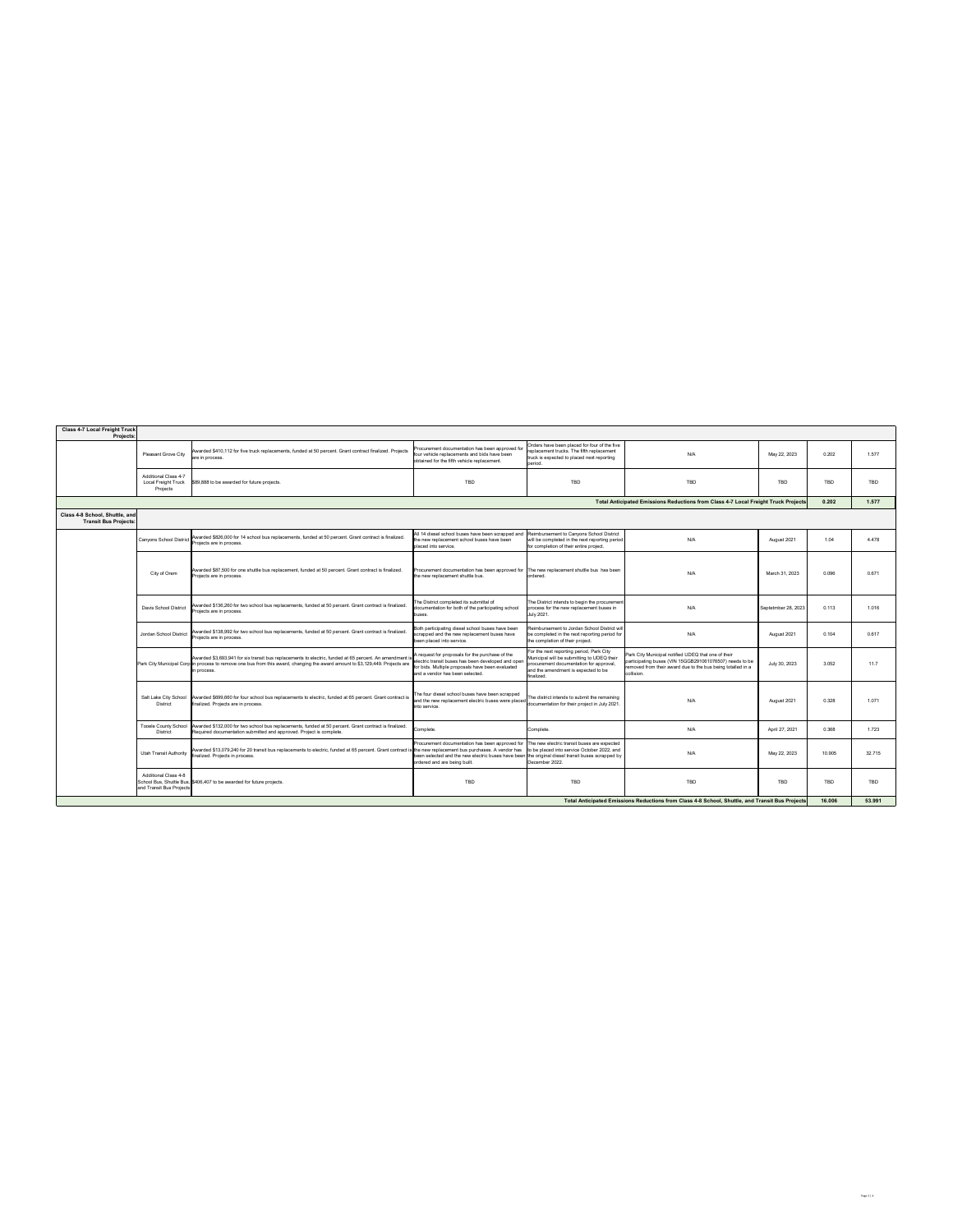| <b>Class 4-7 Local Freight Truck</b><br><b>Projects:</b>                                        |                                                                       |                                                                                                                                                                                                                                                                                                                                                         |                                                                                                                                                                                                                                     |                                                                                                                                                                                         |                                                                                                                                                                                                    |                     |                    |            |
|-------------------------------------------------------------------------------------------------|-----------------------------------------------------------------------|---------------------------------------------------------------------------------------------------------------------------------------------------------------------------------------------------------------------------------------------------------------------------------------------------------------------------------------------------------|-------------------------------------------------------------------------------------------------------------------------------------------------------------------------------------------------------------------------------------|-----------------------------------------------------------------------------------------------------------------------------------------------------------------------------------------|----------------------------------------------------------------------------------------------------------------------------------------------------------------------------------------------------|---------------------|--------------------|------------|
|                                                                                                 | <b>Pleasant Grove City</b>                                            | Awarded \$410,112 for five truck replacements, funded at 50 percent. Grant contract finalized. Projects<br>are in process.                                                                                                                                                                                                                              | Procurement documentation has been approved for<br>four vehicle replacements and bids have been<br>obtained for the fifth vehicle replacement.                                                                                      | Orders have been placed for four of the five<br>$^\dagger$ replacement trucks. The fifth replacement<br>truck is expected to placed next reporting<br>period.                           | N/A                                                                                                                                                                                                | May 22, 2023        | 0.202              | 1.577      |
|                                                                                                 | <b>Additional Class 4-7</b><br><b>Local Freight Truck</b><br>Projects | \$89,888 to be awarded for future projects.                                                                                                                                                                                                                                                                                                             | <b>TBD</b>                                                                                                                                                                                                                          | <b>TBD</b>                                                                                                                                                                              | <b>TBD</b>                                                                                                                                                                                         | <b>TBD</b>          | <b>TBD</b>         | <b>TBD</b> |
|                                                                                                 |                                                                       |                                                                                                                                                                                                                                                                                                                                                         |                                                                                                                                                                                                                                     |                                                                                                                                                                                         | Total Anticipated Emissions Reductions from Class 4-7 Local Freight Truck Projects                                                                                                                 |                     | 0.202              | 1.577      |
| Class 4-8 School, Shuttle, and<br><b>Transit Bus Projects:</b>                                  |                                                                       |                                                                                                                                                                                                                                                                                                                                                         |                                                                                                                                                                                                                                     |                                                                                                                                                                                         |                                                                                                                                                                                                    |                     |                    |            |
|                                                                                                 |                                                                       | Awarded \$826,000 for 14 school bus replacements, funded at 50 percent. Grant contract is finalized<br>  Canyons School District   Awarucu + - - - ,<br>  Projects are in process.                                                                                                                                                                      | $\vert$ All 14 diesel school buses have been scrapped and $\vert$ Reimbursement to Canyons School District<br>the new replacement school buses have been<br>placed into service.                                                    | $\vert$ will be completed in the next reporting period $\vert$<br>for completion of their entire project.                                                                               | N/A                                                                                                                                                                                                | August 2021         | 1.04               | 4.478      |
|                                                                                                 | City of Orem                                                          | Awarded \$87,500 for one shuttle bus replacement, funded at 50 percent. Grant contract is finalized.<br>Projects are in process.                                                                                                                                                                                                                        | $\vert$ Procurement documentation has been approved for $\vert$ The new replacement shuttle bus has been<br>the new replacement shuttle bus.                                                                                        | ordered.                                                                                                                                                                                | N/A                                                                                                                                                                                                | March 31, 2023      | 0.096              | 0.671      |
|                                                                                                 | <b>Davis School District</b>                                          | Awarded \$136,260 for two school bus replacements, funded at 50 percent. Grant contract is finalized.<br>Projects are in process.                                                                                                                                                                                                                       | The District completed its submittal of<br>documentation for both of the participating school<br>buses                                                                                                                              | The District intends to begin the procurement<br>process for the new replacement buses in<br>July 2021.                                                                                 | N/A                                                                                                                                                                                                | Septetmber 28, 2023 | 0.113              | 1.016      |
|                                                                                                 | Jordan School District                                                | Awarded \$138,992 for two school bus replacements, funded at 50 percent. Grant contract is finalized.<br>Projects are in process.                                                                                                                                                                                                                       | Both participating diesel school buses have been<br>scrapped and the new replacement buses have<br>been placed into service.                                                                                                        | Reimbursement to Jordan School District will<br>be completed in the next reporting period for<br>the completion of their project.                                                       | N/A                                                                                                                                                                                                | August 2021         | 0.104              | 0.617      |
|                                                                                                 |                                                                       | A request for proposals for the purchase of the Awarded \$3,693,941 for six transit bus replacements to electric, funded at 65 percent. An amendment is A request for proposals for the purchase of the<br>Park City Municipal Corp in process to remove one bus from this award, changing the award amount to \$3,129,449. Projects are<br>in process. | ' electric transit buses has been developed and open<br>for bids. Multiple proposals have been evaluated<br>and a vendor has been selected.                                                                                         | For the next reporting period, Park City<br>Municipal will be submitting to UDEQ their<br>procurement documentation for approval,<br>and the amendment is expected to be<br>∣finalized. | <b>Park City Municipal notified UDEQ that one of their</b><br>participating buses (VIN 15GGB291061076507) needs to be<br>removed from their award due to the bus being totalled in a<br>collision. | July 30, 2023       | 3.052              | 11.7       |
|                                                                                                 | <b>Salt Lake City School</b><br><b>District</b>                       | Awarded \$699,660 for four school bus replacements to electric, funded at 65 percent. Grant contract is<br>finalized. Projects are in process.                                                                                                                                                                                                          | The four diesel school buses have been scrapped<br>$\vert$ and the new replacement electric buses were placed $\vert$<br>into service.                                                                                              | The district intends to submit the remaining<br>documentation for their project in July 2021.                                                                                           | N/A                                                                                                                                                                                                | August 2021         | 0.328              | 1.07'      |
|                                                                                                 | <b>District</b>                                                       | Tooele County School   Awarded \$132,000 for two school bus replacements, funded at 50 percent. Grant contract is finalized.<br>Required documentation submitted and approved. Project is complete.                                                                                                                                                     | Complete.                                                                                                                                                                                                                           | Complete.                                                                                                                                                                               | N/A                                                                                                                                                                                                | April 27, 2021      | 0.368              | 1.723      |
|                                                                                                 | <b>Utah Transit Authority</b>                                         | Awarded \$13,079,240 for 20 transit bus replacements to electric, funded at 65 percent. Grant contract is the new replacement bus purchases. A vendor has (to be placed into service October 2022, and<br>finalized. Projects in process.                                                                                                               | Procurement documentation has been approved for $ $ The new electric transit buses are expected<br>been selected and the new electric buses have been the original diesel transit buses scrapped by<br>ordered and are being built. | December 2022.                                                                                                                                                                          | N/A                                                                                                                                                                                                | May 22, 2023        | 10.905             | 32.715     |
|                                                                                                 | <b>Additional Class 4-8</b><br>and Transit Bus Projects               | School Bus, Shuttle Bus, \$406,407 to be awarded for future projects.                                                                                                                                                                                                                                                                                   | <b>TBD</b>                                                                                                                                                                                                                          | TBD                                                                                                                                                                                     | TBD                                                                                                                                                                                                | <b>TBD</b>          | TDD<br><u>I BD</u> | <b>TBD</b> |
| Total Anticipated Emissions Reductions from Class 4-8 School, Shuttle, and Transit Bus Projects |                                                                       |                                                                                                                                                                                                                                                                                                                                                         |                                                                                                                                                                                                                                     |                                                                                                                                                                                         |                                                                                                                                                                                                    | 16.006              | 53.991             |            |

Page 2 | 4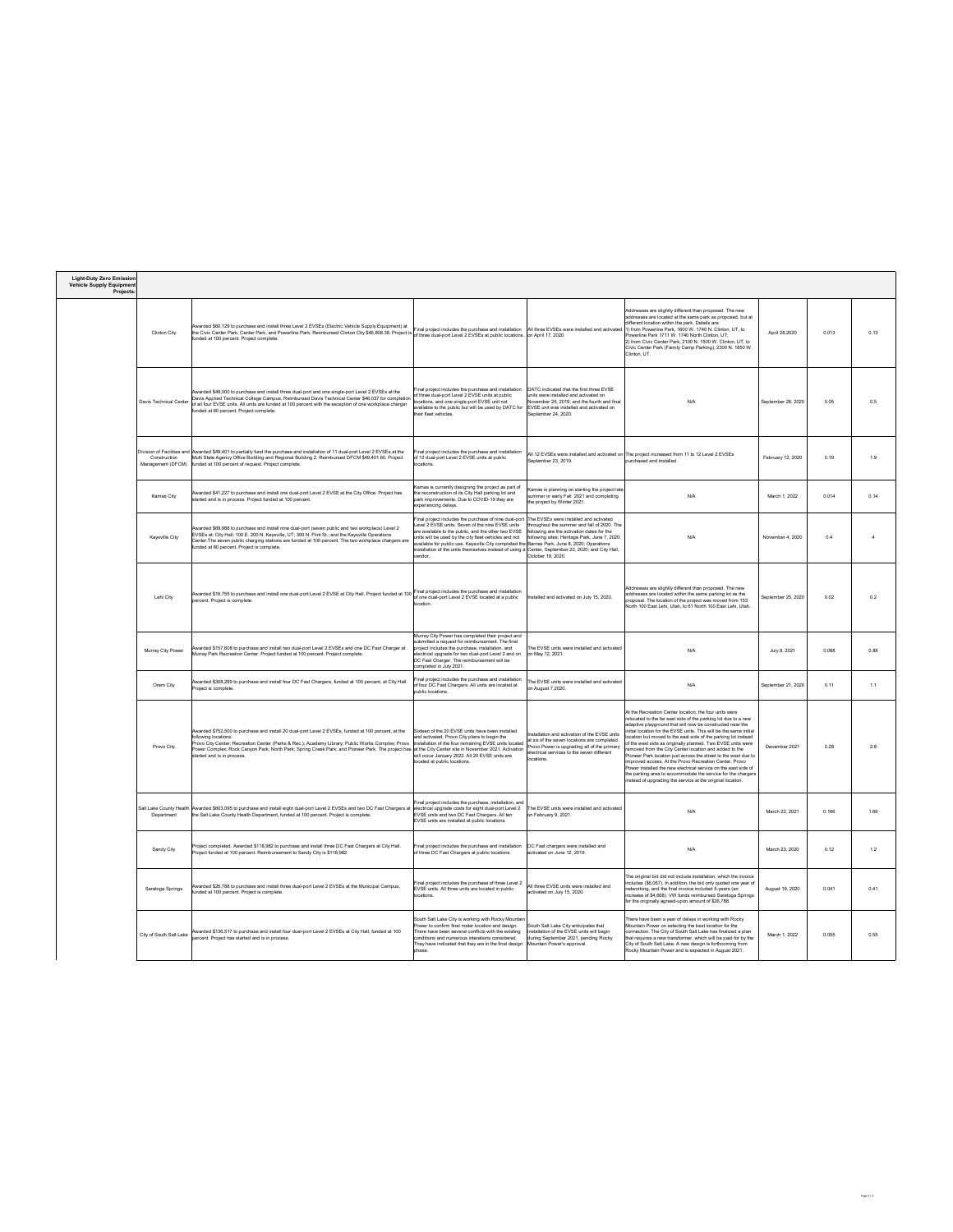| <b>Light-Duty Zero Emission</b> |  |
|---------------------------------|--|
| <b>Vehicle Supply Equipment</b> |  |
| Projects:                       |  |

| <b>Clinton City</b>           | Awarded \$60,129 to purchase and install three Level 2 EVSEs (Electric Vehicle Supply Equipment) at<br>the Civic Center Park, Center Park, and Powerline Park. Reimbursed Clinton City \$46,808.38. Project is $\left  \right\rangle$<br>funded at 100 percent. Project complete.                                                                            | $ $ Final project includes the purchase and installation $\ $ All three EVSEs were installed and activated<br>of three dual-port Level 2 EVSEs at public locations. on April 17, 2020.                                                                                                                                                                                                                                                                                                                                                                                                              |                                                                                                                                                         | Addresses are slightly different than proposed. The new<br>addresses are located at the same park as proposed, but at<br>different location within the park. Details are:<br>$(1)$ from Powerline Park, 1600 W. 1740 N. Clinton, UT, to<br>Powerline Park 1711 W. 1740 North Clinton, UT;<br>2) from Civic Center Park, 2100 N. 1500 W. Clinton, UT, to<br>Civic Center Park (Family Camp Parking), 2300 N. 1850 W.<br>Clinton, UT. | April 28,2020                  | 0.013 | 0.13 |
|-------------------------------|--------------------------------------------------------------------------------------------------------------------------------------------------------------------------------------------------------------------------------------------------------------------------------------------------------------------------------------------------------------|-----------------------------------------------------------------------------------------------------------------------------------------------------------------------------------------------------------------------------------------------------------------------------------------------------------------------------------------------------------------------------------------------------------------------------------------------------------------------------------------------------------------------------------------------------------------------------------------------------|---------------------------------------------------------------------------------------------------------------------------------------------------------|-------------------------------------------------------------------------------------------------------------------------------------------------------------------------------------------------------------------------------------------------------------------------------------------------------------------------------------------------------------------------------------------------------------------------------------|--------------------------------|-------|------|
| <b>Davis Technical Center</b> | Awarded \$49,000 to purchase and install three dual-port and one single-port Level 2 EVSEs at the<br>Davis Applied Technical College Campus. Reimbursed Davis Technical Center \$46,037 for completion<br>of all four EVSE units. All units are funded at 100 percent with the exception of one workplace charger<br>funded at 60 percent. Project complete. | Final project includes the purchase and installation<br>of three dual-port Level 2 EVSE units at public<br>locations, and one single-port EVSE unit not<br>available to the public but will be used by DATC for $ EVSE $ unit was installed and activated on<br>their fleet vehicles.                                                                                                                                                                                                                                                                                                               | DATC indicated that the first three EVSE<br>units were installed and activated on<br>November 25, 2019, and the fourth and final<br>September 24, 2020. | N/A                                                                                                                                                                                                                                                                                                                                                                                                                                 | September 28, 2020             | 0.05  | 0.5  |
| Construction                  | Division of Facilities and Awarded \$49,401 to partially fund the purchase and installation of 11 dual-port Level 2 EVSEs at the<br>Multi State Agency Office Building and Regional Building 2. Reimbursed DFCM \$49,401.60. Project<br>Management (DFCM)   funded at 100 percent of request. Project complete.                                              | Final project includes the purchase and installation<br>of 12 dual-port Level 2 EVSE units at public<br>locations.                                                                                                                                                                                                                                                                                                                                                                                                                                                                                  | September 23, 2019.                                                                                                                                     | $\vert$ All 12 EVSEs were installed and activated on The project increased from 11 to 12 Level 2 EVSEs<br>purchased and installed.                                                                                                                                                                                                                                                                                                  | February 12, 2020              | 0.19  | 1.9  |
| <b>Kamas City</b>             | Awarded \$41,227 to purchase and install one dual-port Level 2 EVSE at the City Office. Project has<br>started and is in process. Project funded at 100 percent.                                                                                                                                                                                             | Kamas is currently designing the project as part of<br>the reconstruction of its City Hall parking lot and<br>park improvements. Due to COVID-19 they are<br>experiencing delays.                                                                                                                                                                                                                                                                                                                                                                                                                   | Kamas is planning on starting the project late <br>summer or early Fall 2021 and completing<br>the project by Winter 2021.                              | N/A                                                                                                                                                                                                                                                                                                                                                                                                                                 | March 1, 2022                  | 0.014 | 0.14 |
| <b>Kaysville City</b>         | Awarded \$69,988 to purchase and install nine dual-port (seven public and two workplace) Level 2<br>EVSEs at: City Hall; 100 E. 200 N. Kaysville, UT; 300 N. Flint St.; and the Kaysville Operations<br>Center.The seven public charging stations are funded at 100 percent. The two workplace chargers are<br>funded at 60 percent. Project is complete.    | Final project includes the purchase of nine dual-port The EVSEs were installed and activated<br>Level 2 EVSE units. Seven of the nine EVSE units<br>$\vert$ are available to the public, and the other two EVSE $\vert$ following are the activation dates for the<br>units will be used by the city fleet vehicles and not $\vert$ following sites: Heritage Park, June 7, 2020;<br> available for public use. Kaysville City completed the Barnes Park, June 8, 2020; Operations<br>installation of the units themselves instead of using a Center, September 22, 2020; and City Hall,<br>vendor. | throughout the summer and fall of 2020. The<br> October 19, 2020.                                                                                       | N/A                                                                                                                                                                                                                                                                                                                                                                                                                                 | November 4, 2020               | 0.4   |      |
| Lehi City                     | Awarded \$16,755 to purchase and install one dual-port Level 2 EVSE at City Hall. Project funded at 100<br>percent. Project is complete.                                                                                                                                                                                                                     | Final project includes the purchase and installation<br>of one dual-port Level 2 EVSE located at a public<br>location.                                                                                                                                                                                                                                                                                                                                                                                                                                                                              | Installed and activated on July 15, 2020.                                                                                                               | Addresses are slightly different than proposed. The new<br>addresses are located within the same parking lot as the<br>proposal. The location of the project was moved from 153<br>North 100 East Lehi, Utah, to 61 North 100 East Lehi, Utah.                                                                                                                                                                                      | $^{\prime}$ September 25, 2020 | 0.02  | 0.2  |

| <b>Murray City Power</b>       | Awarded \$157,608 to purchase and install two dual-port Level 2 EVSEs and one DC Fast Charger at<br>Murray Park Recreation Center. Project funded at 100 percent. Project complete.                                                                                                                                                                                                                                                                                             | Murray City Power has completed their project and<br>submitted a request for reimbursement. The final<br>project includes the purchase, installation, and<br>electrical upgrade for two dual-port Level 2 and on<br>DC Fast Charger. The reimbursement will be<br>completed in July 2021. | The EVSE units were installed and activated<br>on May 12, 2021.                                                                                                                                         | N/A                                                                                                                                                                                                                                                                                                                                                                                                                                                                                                                                                                                                                                                                                                                                                                                 | July 8, 2021       | 0.088 | 0.88                                           |
|--------------------------------|---------------------------------------------------------------------------------------------------------------------------------------------------------------------------------------------------------------------------------------------------------------------------------------------------------------------------------------------------------------------------------------------------------------------------------------------------------------------------------|-------------------------------------------------------------------------------------------------------------------------------------------------------------------------------------------------------------------------------------------------------------------------------------------|---------------------------------------------------------------------------------------------------------------------------------------------------------------------------------------------------------|-------------------------------------------------------------------------------------------------------------------------------------------------------------------------------------------------------------------------------------------------------------------------------------------------------------------------------------------------------------------------------------------------------------------------------------------------------------------------------------------------------------------------------------------------------------------------------------------------------------------------------------------------------------------------------------------------------------------------------------------------------------------------------------|--------------------|-------|------------------------------------------------|
| <b>Orem City</b>               | Awarded \$308,269 to purchase and install four DC Fast Chargers, funded at 100 percent, at City Hall.<br>Project is complete.                                                                                                                                                                                                                                                                                                                                                   | Final project includes the purchase and installation<br>of four DC Fast Chargers. All units are located at<br>public locations.                                                                                                                                                           | The EVSE units were installed and activated<br>on August 7,2020.                                                                                                                                        | N/A                                                                                                                                                                                                                                                                                                                                                                                                                                                                                                                                                                                                                                                                                                                                                                                 | September 21, 2020 | 0.11  | $\begin{array}{cc} 1 & 1 \\ 1 & 1 \end{array}$ |
| <b>Provo City</b>              | Awarded \$752,500 to purchase and install 20 dual-port Level 2 EVSEs, funded at 100 percent, at the<br>following locations:<br>Provo City Center; Recreation Center (Parks & Rec.); Academy Library; Public Works Complex; Provo  installation of the four remaining EVSE units located<br>Power Complex; Rock Canyon Park; North Park; Spring Creek Park; and Pioneer Park. The project has at the City Center site in November 2021. Activation<br>started and is in process. | Sixteen of the 20 EVSE units have been installed<br>and activated. Provo City plans to begin the<br>will occur January 2022. All 20 EVSE units are<br>located at public locations.                                                                                                        | Installation and activation of the EVSE units<br>at six of the seven locations are completed<br>Provo Power is upgrading all of the primary<br>electrical services to the seven different<br>locations. | At the Recreation Center location, the four units were<br>relocated to the far east side of the parking lot due to a new<br>adaptive playground that will now be constructed near the<br>initial location for the EVSE units. This will be the same initial<br>location but moved to the east side of the parking lot instead<br>of the west side as originally planned. Two EVSE units were<br>removed from the City Center location and added to the<br>Pioneer Park location just across the street to the west due to<br>improved access. At the Provo Recreation Center, Provo<br>Power installed the new electrical service on the east side of<br>the parking area to accommodate the service for the chargers<br>instead of upgrading the service at the original location. | December 2021      | 0.28  | 2.8                                            |
| Department                     | Salt Lake County Health Awarded \$603,095 to purchase and install eight dual-port Level 2 EVSEs and two DC Fast Chargers at  electrical upgrade costs for eight dual-port Level 2<br>the Salt Lake County Health Department, funded at 100 percent. Project is complete.                                                                                                                                                                                                        | Final project includes the purchase, installation, and<br><b>EVSE units and two DC Fast Chargers. All ten</b><br>EVSE units are installed at public locations.                                                                                                                            | The EVSE units were installed and activated<br>on February 9, 2021.                                                                                                                                     | N/A                                                                                                                                                                                                                                                                                                                                                                                                                                                                                                                                                                                                                                                                                                                                                                                 | March 22, 2021     | 0.166 | 1.66                                           |
| <b>Sandy City</b>              | Project completed. Awarded \$118,982 to purchase and install three DC Fast Chargers at City Hall.<br>Project funded at 100 percent. Reimbursement to Sandy City is \$118,982.                                                                                                                                                                                                                                                                                                   | Final project includes the purchase and installation<br>of three DC Fast Chargers at public locations.                                                                                                                                                                                    | DC Fast chargers were installed and<br>activated on June 12, 2019.                                                                                                                                      | N/A                                                                                                                                                                                                                                                                                                                                                                                                                                                                                                                                                                                                                                                                                                                                                                                 | March 23, 2020     | 0.12  | 1.2                                            |
| <b>Saratoga Springs</b>        | Awarded \$26,788 to purchase and install three dual-port Level 2 EVSEs at the Municipal Campus,<br>funded at 100 percent. Project is complete.                                                                                                                                                                                                                                                                                                                                  | Final project includes the purchase of three Level 2<br>EVSE units. All three units are located in public<br>locations.                                                                                                                                                                   | All three EVSE units were installed and<br>activated on July 15, 2020.                                                                                                                                  | The original bid did not include installation, which the invoice<br>includes (\$6,067). In addition, the bid only quoted one year of<br>networking, and the final invoice included 5-years (an<br>increase of \$4,668). VW funds reimbursed Saratoga Springs<br>for the originally agreed-upon amount of \$26,788.                                                                                                                                                                                                                                                                                                                                                                                                                                                                  | August 19, 2020    | 0.041 | 0.41                                           |
| <b>City of South Salt Lake</b> | Awarded \$136,517 to purchase and install four dual-port Level 2 EVSEs at City Hall, funded at 100<br>percent. Project has started and is in process.                                                                                                                                                                                                                                                                                                                           | South Salt Lake City is working with Rocky Mountain<br>Power to confirm final meter location and design.<br>There have been several conflicts with the existing<br>conditions and numerous interations considered.<br>They have indicated that they are in the final design<br>phase.     | South Salt Lake City anticipates that<br>installation of the EVSE units will begin<br>during September 2021, pending Rocky<br>Mountain Power's approval.                                                | There have been a year of delays in working with Rocky<br>Mountain Power on selecting the best location for the<br>connection. The City of South Salt Lake has finalized a plan<br>that requires a new transformer, which will be paid for by the<br>City of South Salt Lake. A new design is forthcoming from<br>Rocky Mountain Power and is expected in August 2021.                                                                                                                                                                                                                                                                                                                                                                                                              | March 1, 2022      | 0.055 | 0.55                                           |